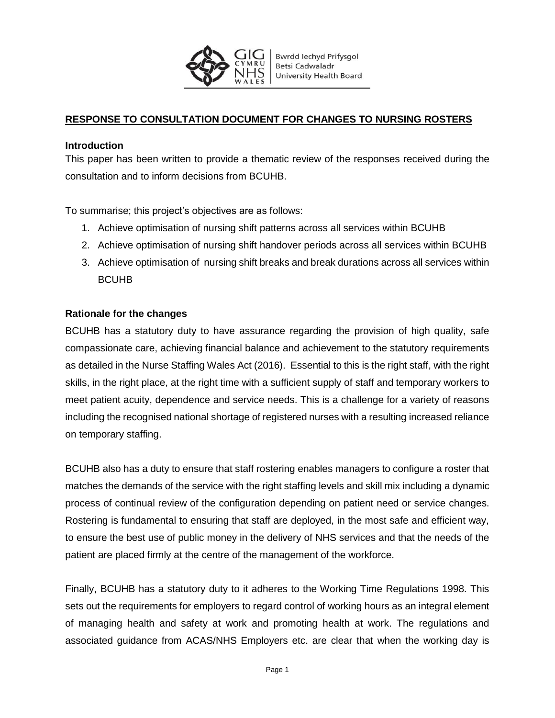

# **RESPONSE TO CONSULTATION DOCUMENT FOR CHANGES TO NURSING ROSTERS**

### **Introduction**

This paper has been written to provide a thematic review of the responses received during the consultation and to inform decisions from BCUHB.

To summarise; this project's objectives are as follows:

- 1. Achieve optimisation of nursing shift patterns across all services within BCUHB
- 2. Achieve optimisation of nursing shift handover periods across all services within BCUHB
- 3. Achieve optimisation of nursing shift breaks and break durations across all services within BCUHB

### **Rationale for the changes**

BCUHB has a statutory duty to have assurance regarding the provision of high quality, safe compassionate care, achieving financial balance and achievement to the statutory requirements as detailed in the Nurse Staffing Wales Act (2016). Essential to this is the right staff, with the right skills, in the right place, at the right time with a sufficient supply of staff and temporary workers to meet patient acuity, dependence and service needs. This is a challenge for a variety of reasons including the recognised national shortage of registered nurses with a resulting increased reliance on temporary staffing.

BCUHB also has a duty to ensure that staff rostering enables managers to configure a roster that matches the demands of the service with the right staffing levels and skill mix including a dynamic process of continual review of the configuration depending on patient need or service changes. Rostering is fundamental to ensuring that staff are deployed, in the most safe and efficient way, to ensure the best use of public money in the delivery of NHS services and that the needs of the patient are placed firmly at the centre of the management of the workforce.

Finally, BCUHB has a statutory duty to it adheres to the Working Time Regulations 1998. This sets out the requirements for employers to regard control of working hours as an integral element of managing health and safety at work and promoting health at work. The regulations and associated guidance from ACAS/NHS Employers etc. are clear that when the working day is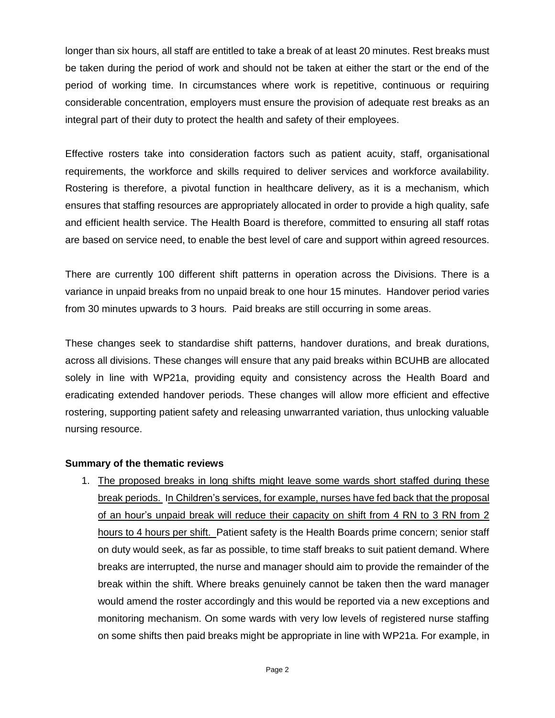longer than six hours, all staff are entitled to take a break of at least 20 minutes. Rest breaks must be taken during the period of work and should not be taken at either the start or the end of the period of working time. In circumstances where work is repetitive, continuous or requiring considerable concentration, employers must ensure the provision of adequate rest breaks as an integral part of their duty to protect the health and safety of their employees.

Effective rosters take into consideration factors such as patient acuity, staff, organisational requirements, the workforce and skills required to deliver services and workforce availability. Rostering is therefore, a pivotal function in healthcare delivery, as it is a mechanism, which ensures that staffing resources are appropriately allocated in order to provide a high quality, safe and efficient health service. The Health Board is therefore, committed to ensuring all staff rotas are based on service need, to enable the best level of care and support within agreed resources.

There are currently 100 different shift patterns in operation across the Divisions. There is a variance in unpaid breaks from no unpaid break to one hour 15 minutes. Handover period varies from 30 minutes upwards to 3 hours. Paid breaks are still occurring in some areas.

These changes seek to standardise shift patterns, handover durations, and break durations, across all divisions. These changes will ensure that any paid breaks within BCUHB are allocated solely in line with WP21a, providing equity and consistency across the Health Board and eradicating extended handover periods. These changes will allow more efficient and effective rostering, supporting patient safety and releasing unwarranted variation, thus unlocking valuable nursing resource.

#### **Summary of the thematic reviews**

1. The proposed breaks in long shifts might leave some wards short staffed during these break periods. In Children's services, for example, nurses have fed back that the proposal of an hour's unpaid break will reduce their capacity on shift from 4 RN to 3 RN from 2 hours to 4 hours per shift. Patient safety is the Health Boards prime concern; senior staff on duty would seek, as far as possible, to time staff breaks to suit patient demand. Where breaks are interrupted, the nurse and manager should aim to provide the remainder of the break within the shift. Where breaks genuinely cannot be taken then the ward manager would amend the roster accordingly and this would be reported via a new exceptions and monitoring mechanism. On some wards with very low levels of registered nurse staffing on some shifts then paid breaks might be appropriate in line with WP21a. For example, in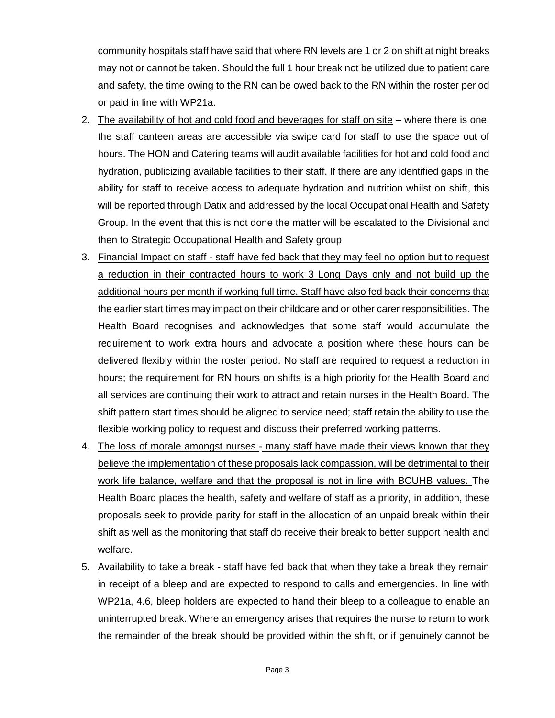community hospitals staff have said that where RN levels are 1 or 2 on shift at night breaks may not or cannot be taken. Should the full 1 hour break not be utilized due to patient care and safety, the time owing to the RN can be owed back to the RN within the roster period or paid in line with WP21a.

- 2. The availability of hot and cold food and beverages for staff on site where there is one, the staff canteen areas are accessible via swipe card for staff to use the space out of hours. The HON and Catering teams will audit available facilities for hot and cold food and hydration, publicizing available facilities to their staff. If there are any identified gaps in the ability for staff to receive access to adequate hydration and nutrition whilst on shift, this will be reported through Datix and addressed by the local Occupational Health and Safety Group. In the event that this is not done the matter will be escalated to the Divisional and then to Strategic Occupational Health and Safety group
- 3. Financial Impact on staff staff have fed back that they may feel no option but to request a reduction in their contracted hours to work 3 Long Days only and not build up the additional hours per month if working full time. Staff have also fed back their concerns that the earlier start times may impact on their childcare and or other carer responsibilities. The Health Board recognises and acknowledges that some staff would accumulate the requirement to work extra hours and advocate a position where these hours can be delivered flexibly within the roster period. No staff are required to request a reduction in hours; the requirement for RN hours on shifts is a high priority for the Health Board and all services are continuing their work to attract and retain nurses in the Health Board. The shift pattern start times should be aligned to service need; staff retain the ability to use the flexible working policy to request and discuss their preferred working patterns.
- 4. The loss of morale amongst nurses many staff have made their views known that they believe the implementation of these proposals lack compassion, will be detrimental to their work life balance, welfare and that the proposal is not in line with BCUHB values. The Health Board places the health, safety and welfare of staff as a priority, in addition, these proposals seek to provide parity for staff in the allocation of an unpaid break within their shift as well as the monitoring that staff do receive their break to better support health and welfare.
- 5. Availability to take a break staff have fed back that when they take a break they remain in receipt of a bleep and are expected to respond to calls and emergencies. In line with WP21a, 4.6, bleep holders are expected to hand their bleep to a colleague to enable an uninterrupted break. Where an emergency arises that requires the nurse to return to work the remainder of the break should be provided within the shift, or if genuinely cannot be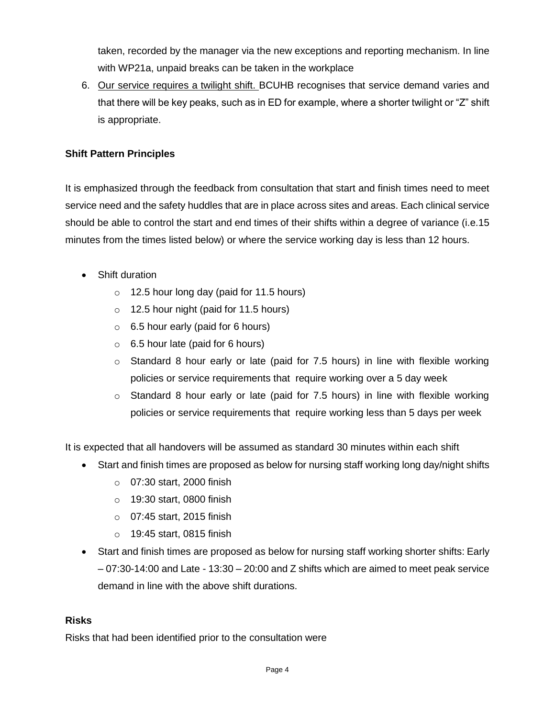taken, recorded by the manager via the new exceptions and reporting mechanism. In line with WP21a, unpaid breaks can be taken in the workplace

6. Our service requires a twilight shift. BCUHB recognises that service demand varies and that there will be key peaks, such as in ED for example, where a shorter twilight or "Z" shift is appropriate.

## **Shift Pattern Principles**

It is emphasized through the feedback from consultation that start and finish times need to meet service need and the safety huddles that are in place across sites and areas. Each clinical service should be able to control the start and end times of their shifts within a degree of variance (i.e.15 minutes from the times listed below) or where the service working day is less than 12 hours.

- Shift duration
	- $\circ$  12.5 hour long day (paid for 11.5 hours)
	- o 12.5 hour night (paid for 11.5 hours)
	- $\circ$  6.5 hour early (paid for 6 hours)
	- $\circ$  6.5 hour late (paid for 6 hours)
	- $\circ$  Standard 8 hour early or late (paid for 7.5 hours) in line with flexible working policies or service requirements that require working over a 5 day week
	- $\circ$  Standard 8 hour early or late (paid for 7.5 hours) in line with flexible working policies or service requirements that require working less than 5 days per week

It is expected that all handovers will be assumed as standard 30 minutes within each shift

- Start and finish times are proposed as below for nursing staff working long day/night shifts
	- o 07:30 start, 2000 finish
	- o 19:30 start, 0800 finish
	- o 07:45 start, 2015 finish
	- o 19:45 start, 0815 finish
- Start and finish times are proposed as below for nursing staff working shorter shifts: Early – 07:30-14:00 and Late - 13:30 – 20:00 and Z shifts which are aimed to meet peak service demand in line with the above shift durations.

### **Risks**

Risks that had been identified prior to the consultation were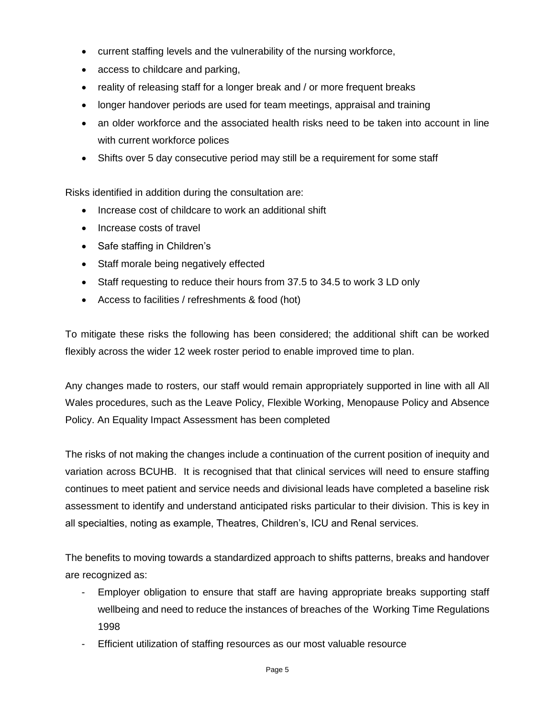- current staffing levels and the vulnerability of the nursing workforce,
- access to childcare and parking,
- reality of releasing staff for a longer break and / or more frequent breaks
- longer handover periods are used for team meetings, appraisal and training
- an older workforce and the associated health risks need to be taken into account in line with current workforce polices
- Shifts over 5 day consecutive period may still be a requirement for some staff

Risks identified in addition during the consultation are:

- Increase cost of childcare to work an additional shift
- Increase costs of travel
- Safe staffing in Children's
- Staff morale being negatively effected
- Staff requesting to reduce their hours from 37.5 to 34.5 to work 3 LD only
- Access to facilities / refreshments & food (hot)

To mitigate these risks the following has been considered; the additional shift can be worked flexibly across the wider 12 week roster period to enable improved time to plan.

Any changes made to rosters, our staff would remain appropriately supported in line with all All Wales procedures, such as the Leave Policy, Flexible Working, Menopause Policy and Absence Policy. An Equality Impact Assessment has been completed

The risks of not making the changes include a continuation of the current position of inequity and variation across BCUHB. It is recognised that that clinical services will need to ensure staffing continues to meet patient and service needs and divisional leads have completed a baseline risk assessment to identify and understand anticipated risks particular to their division. This is key in all specialties, noting as example, Theatres, Children's, ICU and Renal services.

The benefits to moving towards a standardized approach to shifts patterns, breaks and handover are recognized as:

- Employer obligation to ensure that staff are having appropriate breaks supporting staff wellbeing and need to reduce the instances of breaches of the Working Time Regulations 1998
- Efficient utilization of staffing resources as our most valuable resource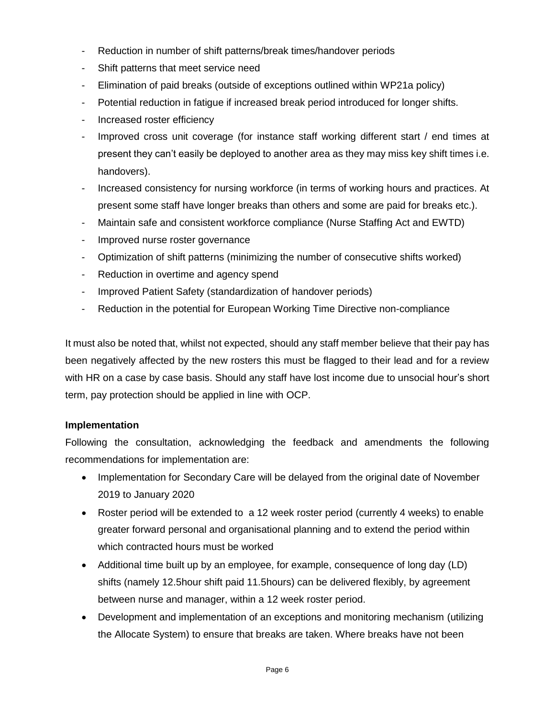- Reduction in number of shift patterns/break times/handover periods
- Shift patterns that meet service need
- Elimination of paid breaks (outside of exceptions outlined within WP21a policy)
- Potential reduction in fatigue if increased break period introduced for longer shifts.
- Increased roster efficiency
- Improved cross unit coverage (for instance staff working different start / end times at present they can't easily be deployed to another area as they may miss key shift times i.e. handovers).
- Increased consistency for nursing workforce (in terms of working hours and practices. At present some staff have longer breaks than others and some are paid for breaks etc.).
- Maintain safe and consistent workforce compliance (Nurse Staffing Act and EWTD)
- Improved nurse roster governance
- Optimization of shift patterns (minimizing the number of consecutive shifts worked)
- Reduction in overtime and agency spend
- Improved Patient Safety (standardization of handover periods)
- Reduction in the potential for European Working Time Directive non-compliance

It must also be noted that, whilst not expected, should any staff member believe that their pay has been negatively affected by the new rosters this must be flagged to their lead and for a review with HR on a case by case basis. Should any staff have lost income due to unsocial hour's short term, pay protection should be applied in line with OCP.

## **Implementation**

Following the consultation, acknowledging the feedback and amendments the following recommendations for implementation are:

- Implementation for Secondary Care will be delayed from the original date of November 2019 to January 2020
- Roster period will be extended to a 12 week roster period (currently 4 weeks) to enable greater forward personal and organisational planning and to extend the period within which contracted hours must be worked
- Additional time built up by an employee, for example, consequence of long day (LD) shifts (namely 12.5hour shift paid 11.5hours) can be delivered flexibly, by agreement between nurse and manager, within a 12 week roster period.
- Development and implementation of an exceptions and monitoring mechanism (utilizing the Allocate System) to ensure that breaks are taken. Where breaks have not been